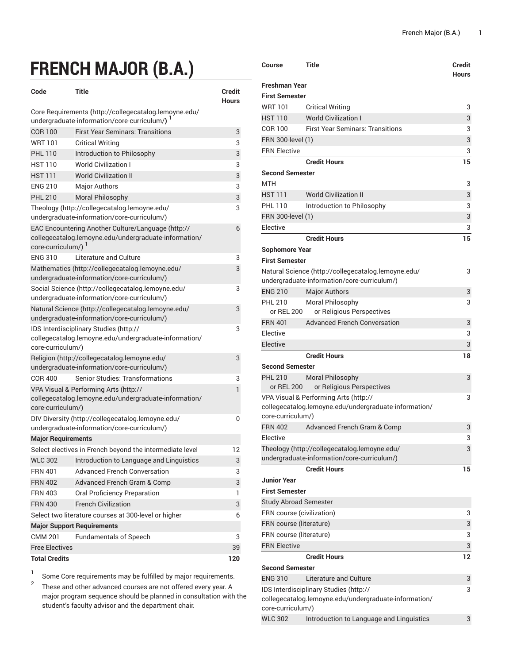## **FRENCH MAJOR (B.A.)**

| Code                                                                                                                                  | Title                                                                                          | Credit<br>Hours |  |  |
|---------------------------------------------------------------------------------------------------------------------------------------|------------------------------------------------------------------------------------------------|-----------------|--|--|
| Core Requirements (http://collegecatalog.lemoyne.edu/<br>undergraduate-information/core-curriculum/)                                  |                                                                                                |                 |  |  |
| <b>COR 100</b>                                                                                                                        | <b>First Year Seminars: Transitions</b>                                                        | 3               |  |  |
| <b>WRT101</b>                                                                                                                         | <b>Critical Writing</b>                                                                        | 3               |  |  |
| <b>PHL 110</b>                                                                                                                        | Introduction to Philosophy                                                                     | 3               |  |  |
| <b>HST110</b>                                                                                                                         | <b>World Civilization I</b>                                                                    | 3               |  |  |
| <b>HST 111</b>                                                                                                                        | <b>World Civilization II</b>                                                                   | 3               |  |  |
| <b>ENG 210</b>                                                                                                                        | <b>Major Authors</b>                                                                           | 3               |  |  |
| <b>PHL 210</b>                                                                                                                        | Moral Philosophy                                                                               | 3               |  |  |
| Theology (http://collegecatalog.lemoyne.edu/<br>undergraduate-information/core-curriculum/)                                           |                                                                                                |                 |  |  |
| EAC Encountering Another Culture/Language (http://<br>6<br>collegecatalog.lemoyne.edu/undergraduate-information/<br>core-curriculum/) |                                                                                                |                 |  |  |
| <b>FNG 310</b>                                                                                                                        | Literature and Culture                                                                         | 3               |  |  |
|                                                                                                                                       | Mathematics (http://collegecatalog.lemoyne.edu/<br>undergraduate-information/core-curriculum/) | 3               |  |  |
| Social Science (http://collegecatalog.lemoyne.edu/<br>undergraduate-information/core-curriculum/)                                     |                                                                                                |                 |  |  |
| Natural Science (http://collegecatalog.lemoyne.edu/<br>undergraduate-information/core-curriculum/)                                    |                                                                                                |                 |  |  |
| IDS Interdisciplinary Studies (http://<br>collegecatalog.lemoyne.edu/undergraduate-information/<br>core-curriculum/)                  |                                                                                                |                 |  |  |
| Religion (http://collegecatalog.lemoyne.edu/<br>3<br>undergraduate-information/core-curriculum/)                                      |                                                                                                |                 |  |  |
| <b>COR 400</b>                                                                                                                        | <b>Senior Studies: Transformations</b>                                                         | 3               |  |  |
| 1<br>VPA Visual & Performing Arts (http://<br>collegecatalog.lemoyne.edu/undergraduate-information/<br>core-curriculum/)              |                                                                                                |                 |  |  |
|                                                                                                                                       | DIV Diversity (http://collegecatalog.lemoyne.edu/                                              | 0               |  |  |
|                                                                                                                                       | undergraduate-information/core-curriculum/)                                                    |                 |  |  |
| <b>Major Requirements</b>                                                                                                             |                                                                                                |                 |  |  |
|                                                                                                                                       | Select electives in French beyond the intermediate level                                       | 12              |  |  |
|                                                                                                                                       | WLC 302 Introduction to Language and Linguistics                                               | 3               |  |  |
| <b>FRN 401</b>                                                                                                                        | <b>Advanced French Conversation</b>                                                            | 3               |  |  |
| <b>FRN 402</b>                                                                                                                        | Advanced French Gram & Comp                                                                    | 3               |  |  |
| <b>FRN 403</b>                                                                                                                        | Oral Proficiency Preparation                                                                   | 1               |  |  |
| <b>FRN 430</b>                                                                                                                        | <b>French Civilization</b>                                                                     | 3               |  |  |
|                                                                                                                                       | Select two literature courses at 300-level or higher                                           | 6               |  |  |
| <b>Major Support Requirements</b>                                                                                                     |                                                                                                |                 |  |  |
| CMM 201                                                                                                                               | <b>Fundamentals of Speech</b>                                                                  | 3               |  |  |
| <b>Free Electives</b>                                                                                                                 |                                                                                                | 39              |  |  |
| <b>Total Credits</b>                                                                                                                  |                                                                                                |                 |  |  |

1 Some Core requirements may be fulfilled by major requirements.

2 These and other advanced courses are not offered every year. A major program sequence should be planned in consultation with the student's faculty advisor and the department chair.

| Course                       | Title                                                                                          | Credit<br><b>Hours</b> |
|------------------------------|------------------------------------------------------------------------------------------------|------------------------|
| <b>Freshman Year</b>         |                                                                                                |                        |
| <b>First Semester</b>        |                                                                                                |                        |
| <b>WRT 101</b>               | <b>Critical Writing</b>                                                                        | 3                      |
| <b>HST 110</b>               | <b>World Civilization I</b>                                                                    | 3                      |
| COR 100                      | <b>First Year Seminars: Transitions</b>                                                        | 3                      |
| FRN 300-level (1)            |                                                                                                | 3                      |
| <b>FRN Elective</b>          |                                                                                                | 3                      |
|                              | <b>Credit Hours</b>                                                                            | 15                     |
| <b>Second Semester</b>       |                                                                                                |                        |
| <b>MTH</b>                   |                                                                                                | 3                      |
| <b>HST 111</b>               | <b>World Civilization II</b>                                                                   | 3                      |
| <b>PHL 110</b>               | Introduction to Philosophy                                                                     | 3                      |
| FRN 300-level (1)            |                                                                                                | 3                      |
| Elective                     |                                                                                                | 3                      |
|                              | <b>Credit Hours</b>                                                                            | 15                     |
| Sophomore Year               |                                                                                                |                        |
| <b>First Semester</b>        |                                                                                                |                        |
|                              | Natural Science (http://collegecatalog.lemoyne.edu/                                            | 3                      |
|                              | undergraduate-information/core-curriculum/)                                                    |                        |
| <b>ENG 210</b>               | <b>Major Authors</b>                                                                           | 3                      |
| <b>PHL 210</b>               | Moral Philosophy                                                                               | 3                      |
| or REL 200                   | or Religious Perspectives                                                                      |                        |
| <b>FRN 401</b>               | <b>Advanced French Conversation</b>                                                            | 3                      |
| Elective                     |                                                                                                | 3                      |
| Elective                     |                                                                                                | 3                      |
|                              | <b>Credit Hours</b>                                                                            | 18                     |
| <b>Second Semester</b>       |                                                                                                |                        |
| <b>PHL 210</b>               | <b>Moral Philosophy</b>                                                                        | 3                      |
| or REL 200                   | or Religious Perspectives                                                                      |                        |
|                              | VPA Visual & Performing Arts (http://<br>collegecatalog.lemoyne.edu/undergraduate-information/ | 3                      |
| core-curriculum/)            |                                                                                                |                        |
| <b>FRN 402</b>               | Advanced French Gram & Comp                                                                    | 3                      |
| Flective                     |                                                                                                | 3                      |
|                              | Theology (http://collegecatalog.lemoyne.edu/                                                   | 3                      |
|                              | undergraduate-information/core-curriculum/)                                                    |                        |
|                              | <b>Credit Hours</b>                                                                            | 15                     |
| <b>Junior Year</b>           |                                                                                                |                        |
| <b>First Semester</b>        |                                                                                                |                        |
| <b>Study Abroad Semester</b> |                                                                                                |                        |
| FRN course (civilization)    |                                                                                                | 3                      |
| FRN course (literature)      |                                                                                                |                        |
| FRN course (literature)      |                                                                                                | 3                      |
| <b>FRN Elective</b>          |                                                                                                | 3                      |
|                              | <b>Credit Hours</b>                                                                            | 12                     |
| <b>Second Semester</b>       |                                                                                                |                        |
| <b>ENG 310</b>               | Literature and Culture                                                                         | 3                      |
|                              | IDS Interdisciplinary Studies (http://                                                         | 3                      |
|                              | collegecatalog.lemoyne.edu/undergraduate-information/                                          |                        |
| core-curriculum/)            |                                                                                                |                        |
| <b>WLC 302</b>               | Introduction to Language and Linguistics                                                       | 3                      |